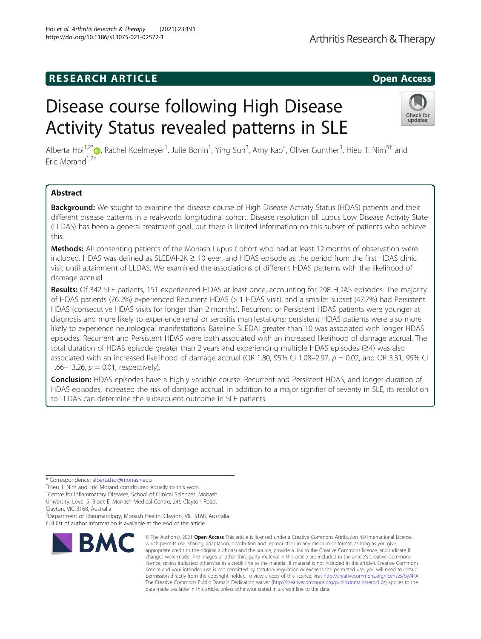# **RESEARCH ARTICLE Example 2014 12:30 The SEAR CH ACCESS**

# Disease course following High Disease Activity Status revealed patterns in SLE

Alberta Hoi<sup>1[,](http://orcid.org/0000-0002-9416-7383)2\*</sup>®, Rachel Koelmeyer<sup>1</sup>, Julie Bonin<sup>1</sup>, Ying Sun<sup>3</sup>, Amy Kao<sup>4</sup>, Oliver Gunther<sup>3</sup>, Hieu T. Nim<sup>5†</sup> and Fric Morand<sup>1,2†</sup>

# Abstract

Background: We sought to examine the disease course of High Disease Activity Status (HDAS) patients and their different disease patterns in a real-world longitudinal cohort. Disease resolution till Lupus Low Disease Activity State (LLDAS) has been a general treatment goal, but there is limited information on this subset of patients who achieve this.

**Methods:** All consenting patients of the Monash Lupus Cohort who had at least 12 months of observation were included. HDAS was defined as SLEDAI-2K ≥ 10 ever, and HDAS episode as the period from the first HDAS clinic visit until attainment of LLDAS. We examined the associations of different HDAS patterns with the likelihood of damage accrual.

Results: Of 342 SLE patients, 151 experienced HDAS at least once, accounting for 298 HDAS episodes. The majority of HDAS patients (76.2%) experienced Recurrent HDAS (> 1 HDAS visit), and a smaller subset (47.7%) had Persistent HDAS (consecutive HDAS visits for longer than 2 months). Recurrent or Persistent HDAS patients were younger at diagnosis and more likely to experience renal or serositis manifestations; persistent HDAS patients were also more likely to experience neurological manifestations. Baseline SLEDAI greater than 10 was associated with longer HDAS episodes. Recurrent and Persistent HDAS were both associated with an increased likelihood of damage accrual. The total duration of HDAS episode greater than 2 years and experiencing multiple HDAS episodes (≥4) was also associated with an increased likelihood of damage accrual (OR 1.80, 95% CI 1.08–2.97,  $p = 0.02$ , and OR 3.31, 95% CI 1.66–13.26,  $p = 0.01$ , respectively).

Conclusion: HDAS episodes have a highly variable course. Recurrent and Persistent HDAS, and longer duration of HDAS episodes, increased the risk of damage accrual. In addition to a major signifier of severity in SLE, its resolution to LLDAS can determine the subsequent outcome in SLE patients.

\* Correspondence: [alberta.hoi@monash.edu](mailto:alberta.hoi@monash.edu) †

<sup>†</sup>Hieu T. Nim and Eric Morand contributed equally to this work. <sup>1</sup>Centre for Inflammatory Diseases, School of Clinical Sciences, Monash University, Level 5, Block E, Monash Medical Centre, 246 Clayton Road,

2 Department of Rheumatology, Monash Health, Clayton, VIC 3168, Australia Full list of author information is available at the end of the article



© The Author(s), 2021 **Open Access** This article is licensed under a Creative Commons Attribution 4.0 International License, which permits use, sharing, adaptation, distribution and reproduction in any medium or format, as long as you give appropriate credit to the original author(s) and the source, provide a link to the Creative Commons licence, and indicate if changes were made. The images or other third party material in this article are included in the article's Creative Commons licence, unless indicated otherwise in a credit line to the material. If material is not included in the article's Creative Commons licence and your intended use is not permitted by statutory regulation or exceeds the permitted use, you will need to obtain permission directly from the copyright holder. To view a copy of this licence, visit [http://creativecommons.org/licenses/by/4.0/.](http://creativecommons.org/licenses/by/4.0/) The Creative Commons Public Domain Dedication waiver [\(http://creativecommons.org/publicdomain/zero/1.0/](http://creativecommons.org/publicdomain/zero/1.0/)) applies to the data made available in this article, unless otherwise stated in a credit line to the data.





Clayton, VIC 3168, Australia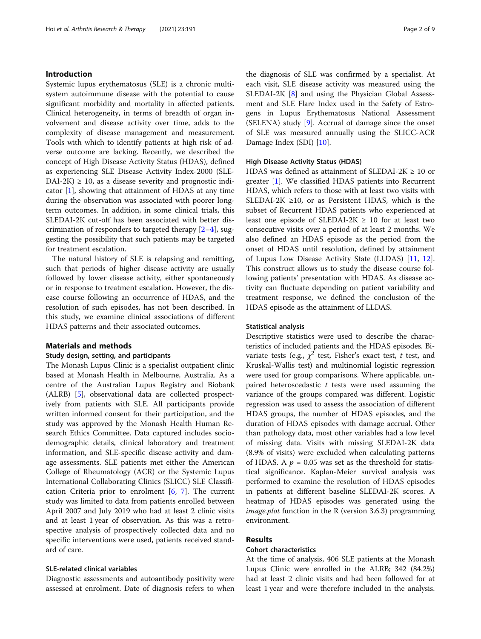# Introduction

Systemic lupus erythematosus (SLE) is a chronic multisystem autoimmune disease with the potential to cause significant morbidity and mortality in affected patients. Clinical heterogeneity, in terms of breadth of organ involvement and disease activity over time, adds to the complexity of disease management and measurement. Tools with which to identify patients at high risk of adverse outcome are lacking. Recently, we described the concept of High Disease Activity Status (HDAS), defined as experiencing SLE Disease Activity Index-2000 (SLE- $DAI-2K$ )  $\geq$  10, as a disease severity and prognostic indicator [\[1\]](#page-7-0), showing that attainment of HDAS at any time during the observation was associated with poorer longterm outcomes. In addition, in some clinical trials, this SLEDAI-2K cut-off has been associated with better discrimination of responders to targeted therapy  $[2-4]$  $[2-4]$  $[2-4]$ , suggesting the possibility that such patients may be targeted for treatment escalation.

The natural history of SLE is relapsing and remitting, such that periods of higher disease activity are usually followed by lower disease activity, either spontaneously or in response to treatment escalation. However, the disease course following an occurrence of HDAS, and the resolution of such episodes, has not been described. In this study, we examine clinical associations of different HDAS patterns and their associated outcomes.

# Materials and methods

#### Study design, setting, and participants

The Monash Lupus Clinic is a specialist outpatient clinic based at Monash Health in Melbourne, Australia. As a centre of the Australian Lupus Registry and Biobank (ALRB) [[5\]](#page-7-0), observational data are collected prospectively from patients with SLE. All participants provide written informed consent for their participation, and the study was approved by the Monash Health Human Research Ethics Committee. Data captured includes sociodemographic details, clinical laboratory and treatment information, and SLE-specific disease activity and damage assessments. SLE patients met either the American College of Rheumatology (ACR) or the Systemic Lupus International Collaborating Clinics (SLICC) SLE Classification Criteria prior to enrolment  $[6, 7]$  $[6, 7]$  $[6, 7]$  $[6, 7]$ . The current study was limited to data from patients enrolled between April 2007 and July 2019 who had at least 2 clinic visits and at least 1 year of observation. As this was a retrospective analysis of prospectively collected data and no specific interventions were used, patients received standard of care.

# SLE-related clinical variables

Diagnostic assessments and autoantibody positivity were assessed at enrolment. Date of diagnosis refers to when the diagnosis of SLE was confirmed by a specialist. At each visit, SLE disease activity was measured using the SLEDAI-2K [[8](#page-7-0)] and using the Physician Global Assessment and SLE Flare Index used in the Safety of Estrogens in Lupus Erythematosus National Assessment (SELENA) study [[9](#page-7-0)]. Accrual of damage since the onset of SLE was measured annually using the SLICC-ACR Damage Index (SDI) [[10\]](#page-7-0).

# High Disease Activity Status (HDAS)

HDAS was defined as attainment of SLEDAI-2K  $\geq$  10 or greater [[1\]](#page-7-0). We classified HDAS patients into Recurrent HDAS, which refers to those with at least two visits with SLEDAI-2K  $\geq$ 10, or as Persistent HDAS, which is the subset of Recurrent HDAS patients who experienced at least one episode of SLEDAI-2K  $\geq$  10 for at least two consecutive visits over a period of at least 2 months. We also defined an HDAS episode as the period from the onset of HDAS until resolution, defined by attainment of Lupus Low Disease Activity State (LLDAS) [\[11](#page-7-0), [12](#page-7-0)]. This construct allows us to study the disease course following patients' presentation with HDAS. As disease activity can fluctuate depending on patient variability and treatment response, we defined the conclusion of the HDAS episode as the attainment of LLDAS.

#### Statistical analysis

Descriptive statistics were used to describe the characteristics of included patients and the HDAS episodes. Bivariate tests (e.g.,  $\chi^2$  test, Fisher's exact test, t test, and Kruskal-Wallis test) and multinomial logistic regression were used for group comparisons. Where applicable, unpaired heteroscedastic  $t$  tests were used assuming the variance of the groups compared was different. Logistic regression was used to assess the association of different HDAS groups, the number of HDAS episodes, and the duration of HDAS episodes with damage accrual. Other than pathology data, most other variables had a low level of missing data. Visits with missing SLEDAI-2K data (8.9% of visits) were excluded when calculating patterns of HDAS. A  $p = 0.05$  was set as the threshold for statistical significance. Kaplan-Meier survival analysis was performed to examine the resolution of HDAS episodes in patients at different baseline SLEDAI-2K scores. A heatmap of HDAS episodes was generated using the image.plot function in the R (version 3.6.3) programming environment.

# Results

# Cohort characteristics

At the time of analysis, 406 SLE patients at the Monash Lupus Clinic were enrolled in the ALRB; 342 (84.2%) had at least 2 clinic visits and had been followed for at least 1 year and were therefore included in the analysis.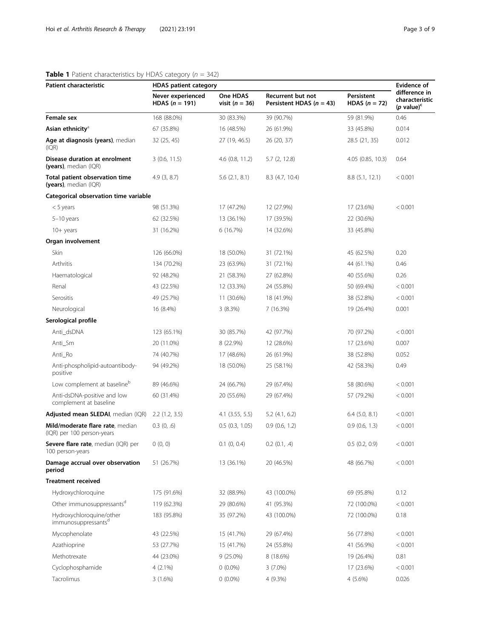# <span id="page-2-0"></span>**Table 1** Patient characteristics by HDAS category ( $n = 342$ )

| Patient characteristic                                         | <b>HDAS patient category</b>                                                   |                    |                                                   |                               |                                                  |
|----------------------------------------------------------------|--------------------------------------------------------------------------------|--------------------|---------------------------------------------------|-------------------------------|--------------------------------------------------|
|                                                                | One HDAS<br>Never experienced<br><b>HDAS</b> $(n = 191)$<br>visit ( $n = 36$ ) |                    | Recurrent but not<br>Persistent HDAS ( $n = 43$ ) | Persistent<br>HDAS $(n = 72)$ | difference in<br>characteristic<br>(p value) $c$ |
| Female sex                                                     | 168 (88.0%)                                                                    | 30 (83.3%)         | 39 (90.7%)                                        | 59 (81.9%)                    | 0.46                                             |
| Asian ethnicity <sup>a</sup>                                   | 67 (35.8%)                                                                     | 16 (48.5%)         | 26 (61.9%)                                        | 33 (45.8%)                    | 0.014                                            |
| Age at diagnosis (years), median<br>(IQR)                      | 32 (25, 45)                                                                    | 27 (19, 46.5)      | 26 (20, 37)                                       | 28.5 (21, 35)                 | 0.012                                            |
| Disease duration at enrolment<br>(years), median $(IQR)$       | 3(0.6, 11.5)                                                                   | 4.6(0.8, 11.2)     | 5.7(2, 12.8)                                      | 4.05 (0.85, 10.3)             | 0.64                                             |
| Total patient observation time<br>(years), median (IQR)        | 4.9(3, 8.7)                                                                    | $5.6$ $(2.1, 8.1)$ | 8.3 (4.7, 10.4)                                   | 8.8 (5.1, 12.1)               | < 0.001                                          |
| Categorical observation time variable                          |                                                                                |                    |                                                   |                               |                                                  |
| $<$ 5 years                                                    | 98 (51.3%)                                                                     | 17 (47.2%)         | 12 (27.9%)                                        | 17 (23.6%)                    | < 0.001                                          |
| 5-10 years                                                     | 62 (32.5%)                                                                     | 13 (36.1%)         | 17 (39.5%)                                        | 22 (30.6%)                    |                                                  |
| $10+$ years                                                    | 31 (16.2%)                                                                     | 6 (16.7%)          | 14 (32.6%)                                        | 33 (45.8%)                    |                                                  |
| Organ involvement                                              |                                                                                |                    |                                                   |                               |                                                  |
| Skin                                                           | 126 (66.0%)                                                                    | 18 (50.0%)         | 31 (72.1%)                                        | 45 (62.5%)                    | 0.20                                             |
| Arthritis                                                      | 134 (70.2%)                                                                    | 23 (63.9%)         | 31 (72.1%)                                        | 44 (61.1%)                    | 0.46                                             |
| Haematological                                                 | 92 (48.2%)                                                                     | 21 (58.3%)         | 27 (62.8%)                                        | 40 (55.6%)                    | 0.26                                             |
| Renal                                                          | 43 (22.5%)                                                                     | 12 (33.3%)         | 24 (55.8%)                                        | 50 (69.4%)                    | < 0.001                                          |
| Serositis                                                      | 49 (25.7%)                                                                     | 11 (30.6%)         | 18 (41.9%)                                        | 38 (52.8%)                    | < 0.001                                          |
| Neurological                                                   | 16 (8.4%)                                                                      | 3(8.3%)            | 7 (16.3%)                                         | 19 (26.4%)                    | 0.001                                            |
| Serological profile                                            |                                                                                |                    |                                                   |                               |                                                  |
| Anti_dsDNA                                                     | 123 (65.1%)                                                                    | 30 (85.7%)         | 42 (97.7%)                                        | 70 (97.2%)                    | < 0.001                                          |
| Anti_Sm                                                        | 20 (11.0%)                                                                     | 8 (22.9%)          | 12 (28.6%)                                        | 17 (23.6%)                    | 0.007                                            |
| Anti_Ro                                                        | 74 (40.7%)                                                                     | 17 (48.6%)         | 26 (61.9%)                                        | 38 (52.8%)                    | 0.052                                            |
| Anti-phospholipid-autoantibody-<br>positive                    | 94 (49.2%)                                                                     | 18 (50.0%)         | 25 (58.1%)                                        | 42 (58.3%)                    | 0.49                                             |
| Low complement at baseline <sup>b</sup>                        | 89 (46.6%)                                                                     | 24 (66.7%)         | 29 (67.4%)                                        | 58 (80.6%)                    | < 0.001                                          |
| Anti-dsDNA-positive and low<br>complement at baseline          | 60 (31.4%)                                                                     | 20 (55.6%)         | 29 (67.4%)                                        | 57 (79.2%)                    | < 0.001                                          |
| Adjusted mean SLEDAI, median (IQR)                             | 2.2(1.2, 3.5)                                                                  | $4.1$ (3.55, 5.5)  | $5.2$ (4.1, 6.2)                                  | $6.4$ $(5.0, 8.1)$            | < 0.001                                          |
| Mild/moderate flare rate, median<br>(IQR) per 100 person-years | $0.3$ $(0, .6)$                                                                | 0.5(0.3, 1.05)     | 0.9(0.6, 1.2)                                     | $0.9$ $(0.6, 1.3)$            | < 0.001                                          |
| Severe flare rate, median (IQR) per<br>100 person-years        | 0(0, 0)                                                                        | $0.1$ $(0, 0.4)$   | $0.2$ (0.1, .4)                                   | 0.5(0.2, 0.9)                 | < 0.001                                          |
| Damage accrual over observation<br>period                      | 51 (26.7%)                                                                     | 13 (36.1%)         | 20 (46.5%)                                        | 48 (66.7%)                    | < 0.001                                          |
| <b>Treatment received</b>                                      |                                                                                |                    |                                                   |                               |                                                  |
| Hydroxychloroquine                                             | 175 (91.6%)                                                                    | 32 (88.9%)         | 43 (100.0%)                                       | 69 (95.8%)                    | 0.12                                             |
| Other immunosuppressants <sup>d</sup>                          | 119 (62.3%)                                                                    | 29 (80.6%)         | 41 (95.3%)                                        | 72 (100.0%)                   | < 0.001                                          |
| Hydroxychloroquine/other<br>immunosuppressants <sup>d</sup>    | 183 (95.8%)                                                                    | 35 (97.2%)         | 43 (100.0%)                                       | 72 (100.0%)                   | 0.18                                             |
| Mycophenolate                                                  | 43 (22.5%)                                                                     | 15 (41.7%)         | 29 (67.4%)                                        | 56 (77.8%)                    | < 0.001                                          |
| Azathioprine                                                   | 53 (27.7%)                                                                     | 15 (41.7%)         | 24 (55.8%)                                        | 41 (56.9%)                    | < 0.001                                          |
| Methotrexate                                                   | 44 (23.0%)                                                                     | $9(25.0\%)$        | 8 (18.6%)                                         | 19 (26.4%)                    | 0.81                                             |
| Cyclophosphamide                                               | $4(2.1\%)$                                                                     | $0(0.0\%)$         | $3(7.0\%)$                                        | 17 (23.6%)                    | < 0.001                                          |
| Tacrolimus                                                     | 3(1.6%)                                                                        | $0(0.0\%)$         | 4 (9.3%)                                          | 4 (5.6%)                      | 0.026                                            |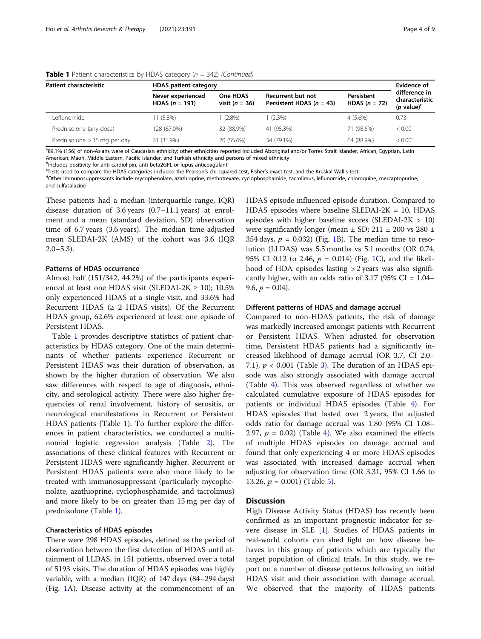| Patient characteristic         | <b>HDAS</b> patient category                 |                              |                                                 |                               |                                                                   |
|--------------------------------|----------------------------------------------|------------------------------|-------------------------------------------------|-------------------------------|-------------------------------------------------------------------|
|                                | Never experienced<br><b>HDAS</b> $(n = 191)$ | One HDAS<br>visit $(n = 36)$ | Recurrent but not<br>Persistent HDAS $(n = 43)$ | Persistent<br>HDAS $(n = 72)$ | difference in<br>characteristic<br>( <i>p</i> value) <sup>c</sup> |
| Leflunomide                    | $11(5.8\%)$                                  | $(2.8\%)$                    | $(2.3\%)$                                       | $4(5.6\%)$                    | 0.73                                                              |
| Prednisolone (any dose)        | 128 (67.0%)                                  | 32 (88.9%)                   | 41 (95.3%)                                      | 71 (98.6%)                    | < 0.001                                                           |
| Prednisolone $> 15$ mg per day | 61 (31.9%)                                   | 20 (55.6%)                   | 34 (79.1%)                                      | 64 (88.9%)                    | < 0.001                                                           |

**Table 1** Patient characteristics by HDAS category ( $n = 342$ ) (Continued)

and the Stand of non-Asians were of Caucasian ethnicity; other ethnicities reported included Aboriginal and/or Torres Strait Islander, African, Egyptian, Latin American, Maori, Middle Eastern, Pacific Islander, and Turkish ethnicity and persons of mixed ethnicity

b<br>Includes positivity for anti-cardiolipin, anti-beta2GPI, or lupus anticoagulant

Tests used to compare the HDAS categories included the Pearson's chi-squared test, Fisher's exact test, and the Kruskal-Wallis test<br><sup>d</sup>Other immunosuppressants include mycophonolate azathionrine, methotrexate, cyclophospha

<sup>d</sup>Other immunosuppressants include mycophenolate, azathioprine, methotrexate, cyclophosphamide, tacrolimus, leflunomide, chloroquine, mercaptopurine,

and sulfasalazine

These patients had a median (interquartile range, IQR) disease duration of 3.6 years (0.7–11.1 years) at enrolment and a mean (standard deviation, SD) observation time of 6.7 years (3.6 years). The median time-adjusted mean SLEDAI-2K (AMS) of the cohort was 3.6 (IQR  $2.0 - 5.3$ ).

# Patterns of HDAS occurrence

Almost half (151/342, 44.2%) of the participants experienced at least one HDAS visit (SLEDAI-2K  $\geq$  10); 10.5% only experienced HDAS at a single visit, and 33.6% had Recurrent HDAS ( $\geq$  2 HDAS visits). Of the Recurrent HDAS group, 62.6% experienced at least one episode of Persistent HDAS.

Table [1](#page-2-0) provides descriptive statistics of patient characteristics by HDAS category. One of the main determinants of whether patients experience Recurrent or Persistent HDAS was their duration of observation, as shown by the higher duration of observation. We also saw differences with respect to age of diagnosis, ethnicity, and serological activity. There were also higher frequencies of renal involvement, history of serositis, or neurological manifestations in Recurrent or Persistent HDAS patients (Table [1\)](#page-2-0). To further explore the differences in patient characteristics, we conducted a multinomial logistic regression analysis (Table [2](#page-4-0)). The associations of these clinical features with Recurrent or Persistent HDAS were significantly higher. Recurrent or Persistent HDAS patients were also more likely to be treated with immunosuppressant (particularly mycophenolate, azathioprine, cyclophosphamide, and tacrolimus) and more likely to be on greater than 15 mg per day of prednisolone (Table [1\)](#page-2-0).

#### Characteristics of HDAS episodes

There were 298 HDAS episodes, defined as the period of observation between the first detection of HDAS until attainment of LLDAS, in 151 patients, observed over a total of 5193 visits. The duration of HDAS episodes was highly variable, with a median (IQR) of 147 days (84–294 days) (Fig. [1A](#page-5-0)). Disease activity at the commencement of an HDAS episode influenced episode duration. Compared to HDAS episodes where baseline SLEDAI-2K =  $10$ , HDAS episodes with higher baseline scores (SLEDAI-2K > 10) were significantly longer (mean  $\pm$  SD; 211  $\pm$  200 vs 280  $\pm$ 354 days,  $p = 0.032$ ) (Fig. [1B](#page-5-0)). The median time to resolution (LLDAS) was 5.5 months vs 5.1 months (OR 0.74, 95% CI 0.12 to 2.46,  $p = 0.014$ ) (Fig. [1C](#page-5-0)), and the likelihood of HDA episodes lasting > 2 years was also significantly higher, with an odds ratio of 3.17 (95%  $CI = 1.04-$ 9.6,  $p = 0.04$ ).

#### Different patterns of HDAS and damage accrual

Compared to non-HDAS patients, the risk of damage was markedly increased amongst patients with Recurrent or Persistent HDAS. When adjusted for observation time, Persistent HDAS patients had a significantly increased likelihood of damage accrual (OR 3.7, CI 2.0– 7.1),  $p < 0.001$  (Table [3\)](#page-5-0). The duration of an HDAS episode was also strongly associated with damage accrual (Table [4](#page-6-0)). This was observed regardless of whether we calculated cumulative exposure of HDAS episodes for patients or individual HDAS episodes (Table [4](#page-6-0)). For HDAS episodes that lasted over 2 years, the adjusted odds ratio for damage accrual was 1.80 (95% CI 1.08– 2.97,  $p = 0.02$ ) (Table [4](#page-6-0)). We also examined the effects of multiple HDAS episodes on damage accrual and found that only experiencing 4 or more HDAS episodes was associated with increased damage accrual when adjusting for observation time (OR 3.31, 95% CI 1.66 to 13.26,  $p = 0.001$ ) (Table [5](#page-6-0)).

# **Discussion**

High Disease Activity Status (HDAS) has recently been confirmed as an important prognostic indicator for severe disease in SLE [\[1](#page-7-0)]. Studies of HDAS patients in real-world cohorts can shed light on how disease behaves in this group of patients which are typically the target population of clinical trials. In this study, we report on a number of disease patterns following an initial HDAS visit and their association with damage accrual. We observed that the majority of HDAS patients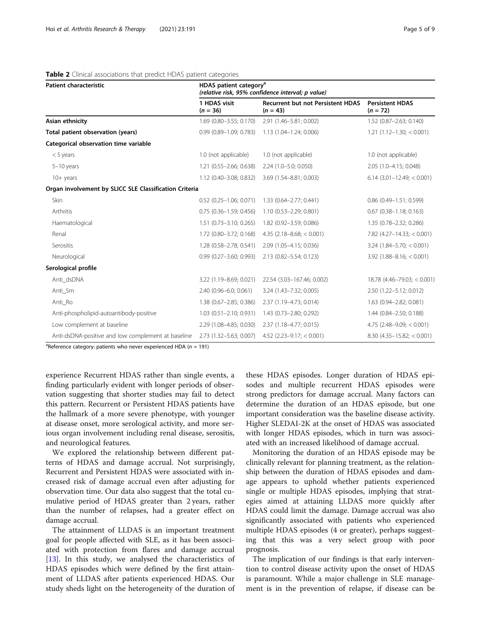# <span id="page-4-0"></span>Table 2 Clinical associations that predict HDAS patient categories

| <b>Patient characteristic</b>                          | HDAS patient category <sup>a</sup><br>(relative risk, 95% confidence interval; p value) |                                                        |                                      |  |
|--------------------------------------------------------|-----------------------------------------------------------------------------------------|--------------------------------------------------------|--------------------------------------|--|
|                                                        | 1 HDAS visit<br>$(n = 36)$                                                              | <b>Recurrent but not Persistent HDAS</b><br>$(n = 43)$ | <b>Persistent HDAS</b><br>$(n = 72)$ |  |
| Asian ethnicity                                        | 1.69 (0.80-3.55; 0.170)                                                                 | 2.91 (1.46-5.81; 0.002)                                | 1.52 (0.87-2.63; 0.140)              |  |
| Total patient observation (years)                      | $0.99(0.89 - 1.09; 0.783)$                                                              | 1.13 (1.04-1.24; 0.006)                                | $1.21(1.12 - 1.30) < 0.001$          |  |
| Categorical observation time variable                  |                                                                                         |                                                        |                                      |  |
| $<$ 5 years                                            | 1.0 (not applicable)                                                                    | 1.0 (not applicable)                                   | 1.0 (not applicable)                 |  |
| $5-10$ years                                           | 1.21 (0.55-2.66; 0.638)                                                                 | 2.24 (1.0-5.0; 0.050)                                  | 2.05 (1.0-4.15; 0.048)               |  |
| $10+$ years                                            | 1.12 (0.40-3.08; 0.832)                                                                 | 3.69 (1.54-8.81; 0.003)                                | $6.14$ (3.01-12.49; < 0.001)         |  |
| Organ involvement by SLICC SLE Classification Criteria |                                                                                         |                                                        |                                      |  |
| Skin                                                   | $0.52$ (0.25-1.06; 0.071)                                                               | 1.33 (0.64-2.77; 0.441)                                | $0.86$ (0.49-1.51; 0.599)            |  |
| Arthritis                                              | $0.75$ (0.36-1.59; 0.456)                                                               | 1.10 (0.53-2.29; 0.801)                                | $0.67$ $(0.38 - 1.18; 0.163)$        |  |
| Haematological                                         | $1.51$ (0.73-3.10; 0.265)                                                               | 1.82 (0.92-3.59; 0.086)                                | 1.35 (0.78-2.32; 0.286)              |  |
| Renal                                                  | 1.72 (0.80-3.72; 0.168)                                                                 | $4.35$ (2.18-8.68; < 0.001)                            | $7.82$ (4.27-14.33; < 0.001)         |  |
| Serositis                                              | 1.28 (0.58-2.78; 0.541)                                                                 | 2.09 (1.05-4.15; 0.036)                                | $3.24$ (1.84-5.70; < 0.001)          |  |
| Neurological                                           | $0.99$ (0.27-3.60; 0.993)                                                               | 2.13 (0.82-5.54; 0.123)                                | $3.92$ (1.88-8.16; < 0.001)          |  |
| Serological profile                                    |                                                                                         |                                                        |                                      |  |
| Anti dsDNA                                             | 3.22 (1.19-8.69; 0.021)                                                                 | 22.54 (3.03-167.46; 0.002)                             | $18.78$ (4.46-79.03; < 0.001)        |  |
| Anti_Sm                                                | 2.40 (0.96-6.0; 0.061)                                                                  | 3.24 (1.43-7.32; 0.005)                                | 2.50 (1.22-5.12; 0.012)              |  |
| Anti Ro                                                | 1.38 (0.67-2.85; 0.386)                                                                 | 2.37 (1.19-4.73; 0.014)                                | 1.63 (0.94-2.82; 0.081)              |  |
| Anti-phospholipid-autoantibody-positive                | $1.03$ (0.51-2.10; 0.931)                                                               | 1.43 (0.73-2.80; 0.292)                                | 1.44 (0.84-2.50; 0.188)              |  |
| Low complement at baseline                             | 2.29 (1.08-4.85; 0.030)                                                                 | 2.37 (1.18-4.77; 0.015)                                | $4.75$ (2.48-9.09; < 0.001)          |  |
| Anti-dsDNA-positive and low complement at baseline     | 2.73 (1.32-5.63; 0.007)                                                                 | $4.52$ (2.23-9.17; < 0.001)                            | $8.30(4.35-15.82; < 0.001)$          |  |

<sup>a</sup>Reference category: patients who never experienced HDA ( $n = 191$ )

experience Recurrent HDAS rather than single events, a finding particularly evident with longer periods of observation suggesting that shorter studies may fail to detect this pattern. Recurrent or Persistent HDAS patients have the hallmark of a more severe phenotype, with younger at disease onset, more serological activity, and more serious organ involvement including renal disease, serositis, and neurological features.

We explored the relationship between different patterns of HDAS and damage accrual. Not surprisingly, Recurrent and Persistent HDAS were associated with increased risk of damage accrual even after adjusting for observation time. Our data also suggest that the total cumulative period of HDAS greater than 2 years, rather than the number of relapses, had a greater effect on damage accrual.

The attainment of LLDAS is an important treatment goal for people affected with SLE, as it has been associated with protection from flares and damage accrual [[13\]](#page-7-0). In this study, we analysed the characteristics of HDAS episodes which were defined by the first attainment of LLDAS after patients experienced HDAS. Our study sheds light on the heterogeneity of the duration of these HDAS episodes. Longer duration of HDAS episodes and multiple recurrent HDAS episodes were strong predictors for damage accrual. Many factors can determine the duration of an HDAS episode, but one important consideration was the baseline disease activity. Higher SLEDAI-2K at the onset of HDAS was associated with longer HDAS episodes, which in turn was associated with an increased likelihood of damage accrual.

Monitoring the duration of an HDAS episode may be clinically relevant for planning treatment, as the relationship between the duration of HDAS episodes and damage appears to uphold whether patients experienced single or multiple HDAS episodes, implying that strategies aimed at attaining LLDAS more quickly after HDAS could limit the damage. Damage accrual was also significantly associated with patients who experienced multiple HDAS episodes (4 or greater), perhaps suggesting that this was a very select group with poor prognosis.

The implication of our findings is that early intervention to control disease activity upon the onset of HDAS is paramount. While a major challenge in SLE management is in the prevention of relapse, if disease can be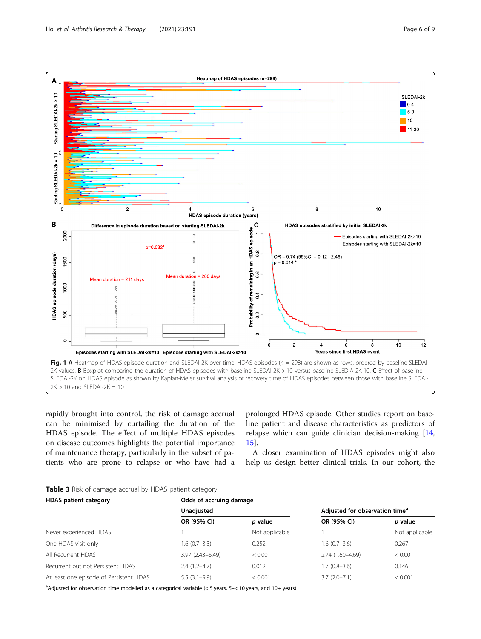<span id="page-5-0"></span>

rapidly brought into control, the risk of damage accrual can be minimised by curtailing the duration of the HDAS episode. The effect of multiple HDAS episodes on disease outcomes highlights the potential importance of maintenance therapy, particularly in the subset of patients who are prone to relapse or who have had a

prolonged HDAS episode. Other studies report on baseline patient and disease characteristics as predictors of relapse which can guide clinician decision-making [[14](#page-7-0), [15\]](#page-7-0).

A closer examination of HDAS episodes might also help us design better clinical trials. In our cohort, the

# Table 3 Risk of damage accrual by HDAS patient category

| <b>HDAS</b> patient category            | Odds of accruing damage |                |                                            |                |  |  |
|-----------------------------------------|-------------------------|----------------|--------------------------------------------|----------------|--|--|
|                                         | Unadjusted              |                | Adjusted for observation time <sup>a</sup> |                |  |  |
|                                         | OR (95% CI)             | p value        | OR (95% CI)                                | p value        |  |  |
| Never experienced HDAS                  |                         | Not applicable |                                            | Not applicable |  |  |
| One HDAS visit only                     | $1.6(0.7-3.3)$          | 0.252          | $1.6(0.7-3.6)$                             | 0.267          |  |  |
| All Recurrent HDAS                      | $3.97(2.43 - 6.49)$     | < 0.001        | $2.74(1.60-4.69)$                          | < 0.001        |  |  |
| Recurrent but not Persistent HDAS       | $2.4(1.2 - 4.7)$        | 0.012          | $1.7(0.8-3.6)$                             | 0.146          |  |  |
| At least one episode of Persistent HDAS | $5.5(3.1-9.9)$          | < 0.001        | $3.7(2.0 - 7.1)$                           | < 0.001        |  |  |

<sup>a</sup>Adjusted for observation time modelled as a categorical variable (< 5 years, 5–< 10 years, and 10+ years)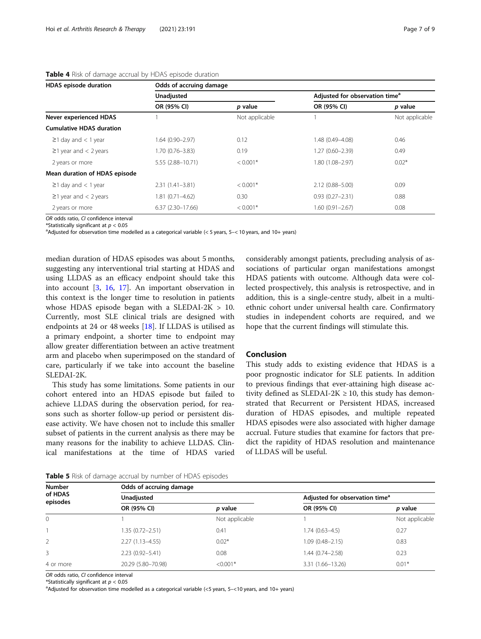| HDAS episode duration           |                     | Odds of accruing damage |                                            |                |  |  |  |
|---------------------------------|---------------------|-------------------------|--------------------------------------------|----------------|--|--|--|
|                                 | Unadjusted          |                         | Adjusted for observation time <sup>a</sup> |                |  |  |  |
|                                 | OR (95% CI)         | p value                 | OR (95% CI)                                | p value        |  |  |  |
| Never experienced HDAS          |                     | Not applicable          |                                            | Not applicable |  |  |  |
| <b>Cumulative HDAS duration</b> |                     |                         |                                            |                |  |  |  |
| $\geq$ 1 day and < 1 year       | 1.64 (0.90-2.97)    | 0.12                    | 1.48 (0.49-4.08)                           | 0.46           |  |  |  |
| $\geq$ 1 year and < 2 years     | 1.70 (0.76-3.83)    | 0.19                    | 1.27 (0.60-2.39)                           | 0.49           |  |  |  |
| 2 years or more                 | 5.55 (2.88-10.71)   | $< 0.001*$              | 1.80 (1.08-2.97)                           | $0.02*$        |  |  |  |
| Mean duration of HDAS episode   |                     |                         |                                            |                |  |  |  |
| $\geq$ 1 day and < 1 year       | $2.31(1.41 - 3.81)$ | $< 0.001*$              | 2.12 (0.88-5.00)                           | 0.09           |  |  |  |

 $\geq$ 1 year and < 2 years 1.81 (0.71–4.62) 0.30 0.93 (0.27–2.31) 0.88 2 years or more 6.37 (2.30–17.66) < 0.001\* 1.60 (0.91–2.67) 0.08

# <span id="page-6-0"></span>Table 4 Risk of damage accrual by HDAS episode duration

OR odds ratio, CI confidence interval \*Statistically significant at  $p < 0.05$ 

<sup>a</sup>Adjusted for observation time modelled as a categorical variable (< 5 years, 5-< 10 years, and 10+ years)

median duration of HDAS episodes was about 5 months, suggesting any interventional trial starting at HDAS and using LLDAS as an efficacy endpoint should take this into account [\[3](#page-7-0), [16](#page-7-0), [17\]](#page-8-0). An important observation in this context is the longer time to resolution in patients whose HDAS episode began with a SLEDAI-2K  $> 10$ . Currently, most SLE clinical trials are designed with endpoints at 24 or 48 weeks [[18\]](#page-8-0). If LLDAS is utilised as a primary endpoint, a shorter time to endpoint may allow greater differentiation between an active treatment arm and placebo when superimposed on the standard of care, particularly if we take into account the baseline SLEDAI-2K.

This study has some limitations. Some patients in our cohort entered into an HDAS episode but failed to achieve LLDAS during the observation period, for reasons such as shorter follow-up period or persistent disease activity. We have chosen not to include this smaller subset of patients in the current analysis as there may be many reasons for the inability to achieve LLDAS. Clinical manifestations at the time of HDAS varied considerably amongst patients, precluding analysis of associations of particular organ manifestations amongst HDAS patients with outcome. Although data were collected prospectively, this analysis is retrospective, and in addition, this is a single-centre study, albeit in a multiethnic cohort under universal health care. Confirmatory studies in independent cohorts are required, and we hope that the current findings will stimulate this.

# Conclusion

This study adds to existing evidence that HDAS is a poor prognostic indicator for SLE patients. In addition to previous findings that ever-attaining high disease activity defined as SLEDAI-2K  $\geq$  10, this study has demonstrated that Recurrent or Persistent HDAS, increased duration of HDAS episodes, and multiple repeated HDAS episodes were also associated with higher damage accrual. Future studies that examine for factors that predict the rapidity of HDAS resolution and maintenance of LLDAS will be useful.

| <b>Number</b><br>of HDAS<br>episodes | Odds of accruing damage |                |                                            |                |  |  |  |
|--------------------------------------|-------------------------|----------------|--------------------------------------------|----------------|--|--|--|
|                                      | <b>Unadjusted</b>       |                | Adjusted for observation time <sup>a</sup> |                |  |  |  |
|                                      | OR (95% CI)             | p value        | OR (95% CI)                                | p value        |  |  |  |
| $\Omega$                             |                         | Not applicable |                                            | Not applicable |  |  |  |
|                                      | 1.35 (0.72-2.51)        | 0.41           | $1.74(0.63 - 4.5)$                         | 0.27           |  |  |  |
|                                      | $2.27(1.13 - 4.55)$     | $0.02*$        | $1.09(0.48 - 2.15)$                        | 0.83           |  |  |  |
| 3.                                   | $2.23(0.92 - 5.41)$     | 0.08           | $1.44(0.74 - 2.58)$                        | 0.23           |  |  |  |
| 4 or more                            | 20.29 (5.80-70.98)      | $< 0.001*$     | 3.31 (1.66-13.26)                          | $0.01*$        |  |  |  |

OR odds ratio, CI confidence interval

\*Statistically significant at  $p < 0.05$ 

Adjusted for observation time modelled as a categorical variable (<5 years, 5–<10 years, and 10+ years)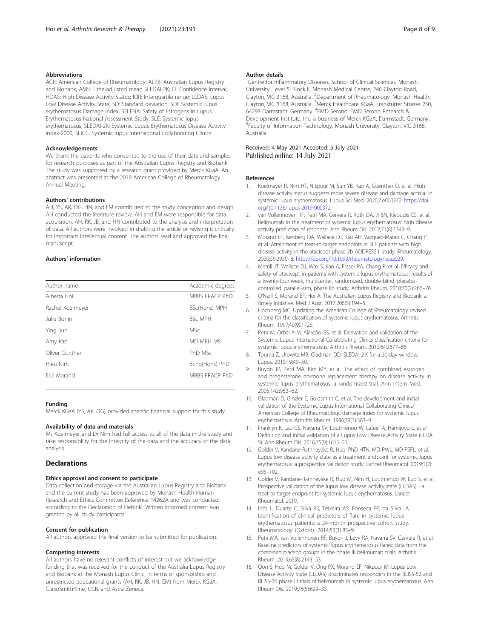#### <span id="page-7-0"></span>Abbreviations

ACR: American College of Rheumatology; ALRB: Australian Lupus Registry and Biobank; AMS: Time-adjusted mean SLEDAI-2K; CI: Confidence interval; HDAS: High Disease Activity Status; IQR: Interquartile range; LLDAS: Lupus Low Disease Activity State; SD: Standard deviation; SDI: Systemic lupus erythematosus Damage Index; SELENA: Safety of Estrogens in Lupus Erythematosus National Assessment Study; SLE: Systemic lupus erythematosus; SLEDAI-2K: Systemic Lupus Erythematosus Disease Activity Index-2000; SLICC: Systemic lupus International Collaborating Clinics

#### Acknowledgements

We thank the patients who consented to the use of their data and samples for research purposes as part of the Australian Lupus Registry and Biobank. The study was supported by a research grant provided by Merck KGaA. An abstract was presented at the 2019 American College of Rheumatology Annual Meeting.

#### Authors' contributions

AH, YS, AK, OG, HN, and EM contributed to the study conception and design. AH conducted the literature review. AH and EM were responsible for data acquisition. AH, RK, JB, and HN contributed to the analysis and interpretation of data. All authors were involved in drafting the article or revising it critically for important intellectual content. The authors read and approved the final manuscript.

#### Authors' information

| Author name      | Academic degrees |
|------------------|------------------|
| Alberta Hoi      | MBBS FRACP PhD   |
| Rachel Koelmeyer | BSc(Hons) MPH    |
| Julie Bonin      | <b>BSc MPH</b>   |
| Ying Sun         | <b>MSc</b>       |
| Amy Kao          | MD MPH MS        |
| Oliver Gunther   | PhD MSc          |
| Hieu Nim         | BEng(Hons) PhD   |
| Fric Morand      | MBBS FRACP PhD   |
|                  |                  |

#### Funding

Merck KGaA (YS, AK, OG) provided specific financial support for this study.

# Availability of data and materials

Ms Koelmeyer and Dr Nim had full access to all of the data in the study and take responsibility for the integrity of the data and the accuracy of the data analysis.

# **Declarations**

#### Ethics approval and consent to participate

Data collection and storage via the Australian Lupus Registry and Biobank and the current study has been approved by Monash Health Human Research and Ethics Committee Reference 14262A and was conducted according to the Declaration of Helsinki. Written informed consent was granted by all study participants.

#### Consent for publication

All authors approved the final version to be submitted for publication.

#### Competing interests

All authors have no relevant conflicts of interest but we acknowledge funding that was received for the conduct of the Australia Lupus Registry and Biobank at the Monash Lupus Clinic, in terms of sponsorship and unrestricted educational grants (AH, RK, JB, HN, EM) from Merck KGaA, GlaxoSmithKline, UCB, and Astra Zeneca.

#### Author details

<sup>1</sup> Centre for Inflammatory Diseases, School of Clinical Sciences, Monash University, Level 5, Block E, Monash Medical Centre, 246 Clayton Road, Clayton, VIC 3168, Australia. <sup>2</sup>Department of Rheumatology, Monash Health, Clayton, VIC 3168, Australia. <sup>3</sup>Merck Healthcare KGaA, Frankfurter Strasse 250 64293 Darmstadt, Germany. <sup>4</sup>EMD Serono, EMD Serono Research & Development Institute, Inc, a business of Merck KGaA, Darmstadt, Germany. 5 Faculty of Information Technology, Monash University, Clayton, VIC 3168, Australia.

#### Received: 4 May 2021 Accepted: 5 July 2021 Published online: 14 July 2021

#### References

- 1. Koelmeyer R, Nim HT, Nikpour M, Sun YB, Kao A, Guenther O, et al. High disease activity status suggests more severe disease and damage accrual in systemic lupus erythematosus. Lupus Sci Med. 2020;7:e000372. [https://doi.](https://doi.org/10.1136/lupus-2019-000372) [org/10.1136/lupus-2019-000372.](https://doi.org/10.1136/lupus-2019-000372)
- 2. van Vollenhoven RF, Petri MA, Cervera R, Roth DA, Ji BN, Kleoudis CS, et al. Belimumab in the treatment of systemic lupus erythematosus: high disease activity predictors of response. Ann Rheum Dis. 2012;71(8):1343–9.
- 3. Morand EF, Isenberg DA, Wallace DJ, Kao AH, Vazquez-Mateo C, Chang P, et al. Attainment of treat-to-target endpoints in SLE patients with high disease activity in the atacicept phase 2b ADDRESS II study. Rheumatology. 2020;59:2930–8. <https://doi.org/10.1093/rheumatology/keaa029>.
- 4. Merrill JT, Wallace DJ, Wax S, Kao A, Fraser PA, Chang P, et al. Efficacy and safety of atacicept in patients with systemic lupus erythematosus: results of a twenty-four-week, multicenter, randomized, double-blind, placebocontrolled, parallel-arm, phase IIb study. Arthritis Rheum. 2018;70(2):266–76.
- 5. O'Neill S, Morand EF, Hoi A. The Australian Lupus Registry and Biobank: a timely initiative. Med J Aust. 2017;206(5):194–5.
- 6. Hochberg MC. Updating the American College of Rheumatology revised criteria for the classification of systemic lupus erythematosus. Arthritis Rheum. 1997;40(9):1725.
- 7. Petri M, Orbai A-M, Alarcón GS, et al. Derivation and validation of the Systemic Lupus International Collaborating Clinics classification criteria for systemic lupus erythematosus. Arthritis Rheum. 2012;64:2677–86.
- 8. Touma Z, Urowitz MB, Gladman DD. SLEDAI-2 K for a 30-day window. Lupus. 2010;19:49–50.
- 9. Buyon JP, Petri MA, Kim MY, et al. The effect of combined estrogen and progesterone hormone replacement therapy on disease activity in systemic lupus erythematosus: a randomized trial. Ann Intern Med. 2005;142:953–62.
- 10. Gladman D, Ginzler E, Goldsmith C, et al. The development and initial validation of the Systemic Lupus International Collaborating Clinics/ American College of Rheumatology damage index for systemic lupus erythematosus. Arthritis Rheum. 1996;39(3):363–9.
- 11. Franklyn K, Lau CS, Navarra SV, Louthrenoo W, Lateef A, Hamijoyo L, et al. Definition and initial validation of a Lupus Low Disease Activity State (LLDA S). Ann Rheum Dis. 2016;75(9):1615–21.
- 12. Golder V, Kandane-Rathnayake R, Huq, PhD HTN, MD PWL, MD PSFL, et al. Lupus low disease activity state as a treatment endpoint for systemic lupus erythematosus: a prospective validation study. Lancet Rheumatol. 2019;1(2): e95–102.
- 13. Golder V, Kandane-Rathnayake R, Huq M, Nim H, Louthrenoo W, Luo S, et al. Prospective validation of the lupus low disease activity state (LLDAS) - a treat to target endpoint for systemic lupus erythematosus. Lancet Rheumatol. 2019.
- 14. Inês L, Duarte C, Silva RS, Teixeira AS, Fonseca FP, da Silva JA. Identification of clinical predictors of flare in systemic lupus erythematosus patients: a 24-month prospective cohort study. Rheumatology (Oxford). 2014;53(1):85–9.
- 15. Petri MA, van Vollenhoven RF, Buyon J, Levy RA, Navarra SV, Cervera R, et al. Baseline predictors of systemic lupus erythematosus flares: data from the combined placebo groups in the phase III belimumab trials. Arthritis Rheum. 2013;65(8):2143–53.
- 16. Oon S, Huq M, Golder V, Ong PX, Morand EF, Nikpour M. Lupus Low Disease Activity State (LLDAS) discriminates responders in the BLISS-52 and BLISS-76 phase III trials of belimumab in systemic lupus erythematosus. Ann Rheum Dis. 2019;78(5):629–33.